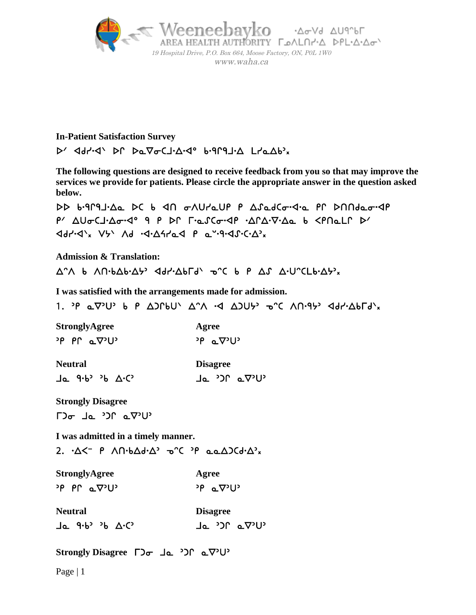

## **In-Patient Satisfaction Survey**  $P'$  <aphid of  $Pa\nabla bCJbAd$  bignation  $LbaAbx$

**The following questions are designed to receive feedback from you so that may improve the services we provide for patients. Please circle the appropriate answer in the question asked below.** 

DD b.919J. Aa DC b < 1 on Uraup P ASadCo.<1.a PP DNNdao.<P  $P'$   $\Delta U \sigma C J \cdot \Delta \sigma \cdot Q^{\circ}$  9 P DP  $\Gamma \cdot \alpha \cdot C \sigma \cdot Q \cdot \alpha \cdot \nabla \cdot \Delta \alpha$  b  $\langle \rho \cap \alpha L \cap \beta \cdot \nabla \cdot Q \rangle$  $\left( \frac{1}{2} \mathcal{A} - \frac{1}{2} \mathcal{A} \mathcal{A} \mathcal{A} \mathcal{A} + \frac{1}{2} \mathcal{A} \mathcal{A} \mathcal{A} \mathcal{A} + \frac{1}{2} \mathcal{A} \mathcal{A} \mathcal{A} \mathcal{A} \mathcal{A} \mathcal{A} \mathcal{A} \mathcal{A} \mathcal{A} \mathcal{A} \mathcal{A} \mathcal{A} \mathcal{A} \mathcal{A} \mathcal{A} \mathcal{A} \mathcal{A} \mathcal{A} \mathcal{A} \mathcal{A} \mathcal{A} \mathcal{A}$ 

i. **Admission & Translation:**

 $\Delta$  and the analytic of the angle of  $\Delta$  and  $\Delta$  and  $\Delta$  and  $\Delta$  and  $\Delta$  and  $\Delta$  and  $\Delta$  and  $\Delta$  and  $\Delta$  and  $\Delta$  and  $\Delta$  and  $\Delta$  and  $\Delta$  and  $\Delta$  and  $\Delta$  and  $\Delta$  and  $\Delta$  and  $\Delta$  and  $\Delta$  and  $\Delta$  and  $\Delta$ 

**I was satisfied with the arrangements made for admission.** 

1. P  $\alpha \nabla^3 U^3$  b P  $\Delta$ )PbU'  $\Delta^2 \Lambda$  .<d  $\Delta$ )Ub'  $\sigma^2 C$   $\Lambda \Omega^2 9^3$  <dd' $\Delta b \Gamma d$ 'x

| <b>StronglyAgree</b>      | Agree                |
|---------------------------|----------------------|
| יטיס <sub>י</sub> ם Pr פי | י∪י⊽⊾ P <sup>נ</sup> |

**Neutral Disagree** 

 $\mathbf{r}$ **Strongly Disagree** 

 $\Gamma$ )  $\sigma$  de  $\Omega$ <sup>2</sup> de  $\Gamma$ 

**I was admitted in a timely manner.** 

2.  $\Delta \langle -\rho \rangle$  An $\Delta d \cdot \Delta^3$  or  $\partial \rho$  and  $\Delta \Delta d \cdot \Delta^3$ 

**StronglyAgree Agree**   $P \circ P \circ Q^2 U^3$  or  $P \circ Q^3 U^3$ 

**Neutral Disagree**  اد (40° 30' C) د (20° 40' C) د (20° 50' C)

**Strongly Disagree**

Page | 1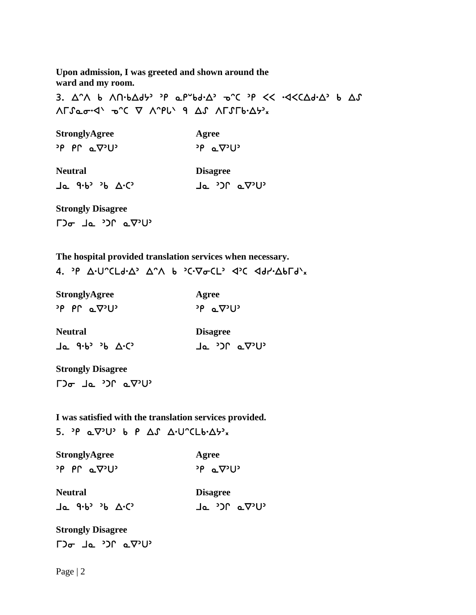**Upon admission, I was greeted and shown around the ward and my room.** 

3.  $\Delta$ ° $\wedge$  b  $\wedge \Pi$  $\cdot$ b $\Delta$ d $\vdash$   $\cdot$   $\varphi$   $\Delta$   $\vdash$   $\Delta$ <sup> $\vee$ </sup>  $\neg$  $\wedge$   $\vee$   $\neg$  $\wedge$   $\vee$   $\varphi$   $\Delta$  $\vdash$   $\Delta$  $\vdash$   $\Delta$  $\vdash$   $\Delta$  $\vdash$   $\Delta$  $\vdash$   $\Delta$  $\vdash$   $\Delta$  $\vdash$   $\Box$ 

**StronglyAgree Agree**  $P \circ P \circ Q^2 U^3$  or  $P \circ Q^3 U^3$ **Neutral Disagree** Ja 9.6° 36 A.C Ja 30° a.V.U.  $\mathbf{r}$ **Strongly Disagree**   $\Gamma$ ) $\sigma$   $\Gamma$   $\Delta$   $\sigma$   $\gamma$ ) $\Gamma$   $\Delta$   $\sigma$ ) $\Gamma$ 

**The hospital provided translation services when necessary.** 

4. P A.U^CLd.A' A^A b 'C.VoCL' <dd <dd /-Abrd'x

| <b>StronglyAgree</b>     | Agree                |
|--------------------------|----------------------|
| <sup>י</sup> טי⊽ ב י∩י ף | <sup>י</sup> ∪י⊽⊾ P° |

| <b>Neutral</b> | <b>Disagree</b> |
|----------------|-----------------|
| Ja 9.6° 36 A.C | י∪י⊽ם ∩כי ⊾L -  |

**Strongly Disagree** 

 $\Gamma$ ) $\sigma$   $\Gamma$   $\Delta$   $\sigma$   $\gamma$ ) $\Gamma$   $\Delta$   $\sigma$ ) $\Gamma$ 

**I was satisfied with the translation services provided.** 

Agree

י∪י $\mathcal{P}$  ^ ני

5. P  $\alpha \nabla^3 U^3$  b P  $\Delta S$   $\Delta \cdot U^c$ CLb $\cdot \Delta \cdot v_x$ 

| <b>StronglyAgree</b> |  |                                |  |  |
|----------------------|--|--------------------------------|--|--|
|                      |  | <u><sup>›p</sup> PՐ ⊾</u> ⊽ንU` |  |  |

| <b>Neutral</b>             | Disagree        |
|----------------------------|-----------------|
| Ja 9.6 <sup>3</sup> 36 A.C | ן י∪י⊽ ∩ריβי ב∪ |

**Strongly Disagree**   $\Gamma$ ) $\sigma$   $\Gamma$   $\Delta$   $\sigma$   $\gamma$ <sup>2</sup>) $\Gamma$   $\Delta$   $\sigma$  $\Gamma$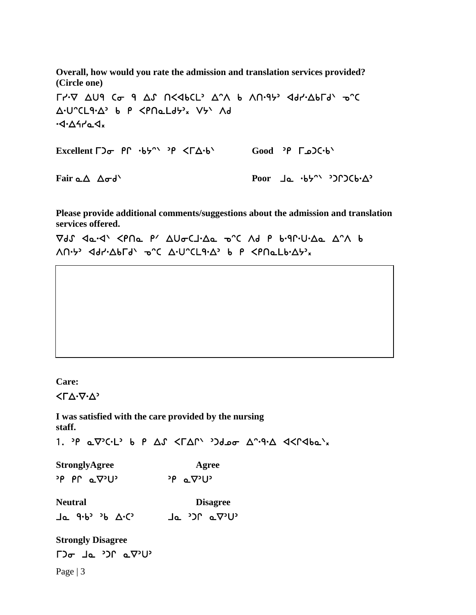**Overall, how would you rate the admission and translation services provided? (Circle one)** 

 $\Gamma$ <sub>1</sub>.6  $\Delta$ U9 C<sub>0</sub> 9  $\Delta$ *S*  $\Gamma$   $\Delta$   $\Delta$ b  $\Delta$ <sup>-</sup> $\Delta$  b  $\Delta$  $\Gamma$  $\Gamma$  $\Delta$ <sup>p</sup>  $\Delta$ <sub>3</sub>  $\Gamma$ <sub> $\Delta$ </sub>  $\Delta$ <sup>1</sup> $\Gamma$ Δ·U^CL9·Δ' b P <PNaLd5'x V5' Ad  $\cdot$ 1.44 $\sim$ 4. **Excellent Γ)<sub>σ</sub>**  $P \cap \neg b$ ל-β <ΓΔ⋅b Good <sup>3</sup>P Γω)<-b

**Fair Poor** 

**Please provide additional comments/suggestions about the admission and translation services offered.** 

 $\nabla dJ$   $\Delta d\cdot d'$   $\prec$ PNa P'  $\Delta U \sigma C J \cdot \Delta a$  o'C Ad P  $b \cdot q \cdot U \cdot \Delta a$   $\Delta \cdot \Lambda$  b  $\Lambda$ n·5, dal. $\Delta$ plq,  $\Delta$ .c  $\Delta$ .n.cra. $\Delta$ , p b chu $\Delta$ p.x,

**Care:** 

i

 $\langle \Gamma \Delta \cdot \nabla \cdot \Delta \rangle$ 

**I was satisfied with the care provided by the nursing staff.** 

1. P  $\alpha \nabla^3 C \cdot L^3$  b P  $\Delta S$  < F $\Delta \Gamma^3$   $\Delta S$   $\Delta \alpha$   $\Delta \Gamma^3$  4< F $\Delta S$   $\Delta S$   $\Delta S$   $\Delta S$ 

 $\mathbf{r}$ **StronglyAgree Agree**  $P \circ P \circ Q \circ U$ <sup>2</sup>  $P \circ Q \circ U$ <sup>2</sup>

**Neutral Disagree J** የ የ <sub>ን</sub> የ ጥረ <sub>ን</sub> በ የ የ ምን የ ምን ነ

Page  $|3$ **Strongly Disagree**   $\Gamma$ ישי $\nabla$ ם יבר בידו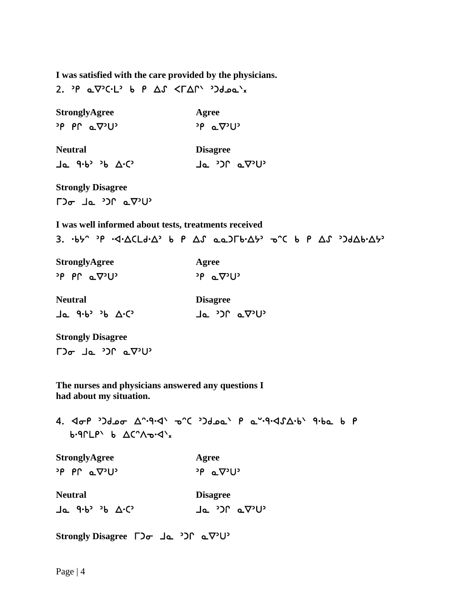**I was satisfied with the care provided by the physicians.** 

2. P  $\alpha \nabla^3 C \cdot L^3$  b P  $\Delta S$  <  $\Gamma \Delta \Gamma^3$  3d  $\alpha \Delta x$ 

| <b>StronglyAgree</b>                                                                                  | Agree                                                                                                                                                                                                                                                                                                                                                                                                                            |
|-------------------------------------------------------------------------------------------------------|----------------------------------------------------------------------------------------------------------------------------------------------------------------------------------------------------------------------------------------------------------------------------------------------------------------------------------------------------------------------------------------------------------------------------------|
| יטיס <sub>ם</sub> חף פי                                                                               | י∪י⊽⊾ P <sup>נ</sup>                                                                                                                                                                                                                                                                                                                                                                                                             |
| <b>Neutral</b>                                                                                        | <b>Disagree</b>                                                                                                                                                                                                                                                                                                                                                                                                                  |
| $Ja$ 9.6° 36 $\Delta$ . $C$                                                                           | י∪י⊽⊾ ∩כי ⊾נ                                                                                                                                                                                                                                                                                                                                                                                                                     |
| <b>Strongly Disagree</b>                                                                              |                                                                                                                                                                                                                                                                                                                                                                                                                                  |
| $\Gamma$ <sup>2</sup> $\sigma$ $\Gamma$ <sup>2</sup> $\Omega$ $\Gamma$ <sup>2</sup> $\Gamma$ $\Gamma$ |                                                                                                                                                                                                                                                                                                                                                                                                                                  |
| I was well informed about tests, treatments received                                                  |                                                                                                                                                                                                                                                                                                                                                                                                                                  |
|                                                                                                       | 3. $\cdot$ b5^ $\cdot$ P $\cdot$ <1 $\cdot$ $\Delta$ CLd $\cdot$ $\Delta$ <sup><math>&gt;</math></sup> b $P$ $\Delta$ $S$ $\alpha$ $\Delta$ ) $\Gamma$ b $\cdot$ $\Delta$ $\vdash$ $\cdot$ $\alpha$ $\cdot$ $\Gamma$ $\vdash$ $\alpha$ $\Gamma$ $\vdash$ $\alpha$ $\Gamma$ $\vdash$ $\Delta$ $\vdash$ $\Delta$ $\vdash$ $\Delta$ $\vdash$ $\Delta$ $\vdash$ $\Delta$ $\vdash$ $\Delta$ $\vdash$ $\Delta$ $\vdash$ $\Delta$ $\vd$ |
| <b>StronglyAgree</b>                                                                                  | Agree                                                                                                                                                                                                                                                                                                                                                                                                                            |
| י∪י⊽ם Prף <sup>פ</sup> י                                                                              | <sup>∍</sup> ף ⊾⊽יט                                                                                                                                                                                                                                                                                                                                                                                                              |
| <b>Neutral</b>                                                                                        | <b>Disagree</b>                                                                                                                                                                                                                                                                                                                                                                                                                  |
| $Ja$ 9.6° 36 $\Delta$ . $C$                                                                           | Ja <sup>&gt;</sup> C av <sup>o</sup>                                                                                                                                                                                                                                                                                                                                                                                             |
| <b>Strongly Disagree</b>                                                                              |                                                                                                                                                                                                                                                                                                                                                                                                                                  |
| $\Box$ a de ') $\Box$ a $\nabla$ 'U'                                                                  |                                                                                                                                                                                                                                                                                                                                                                                                                                  |

**The nurses and physicians answered any questions I had about my situation.** 

4. 4 TP '2010 And And The Color Party Arch Arba b P  $b \cdot 9$  $\Gamma$  $L$  $P$   $b$   $\Delta$  $C$  $^{\wedge}$  $A$  $\sim$  $\Delta$  $\chi$ 

| <b>StronglyAgree</b>       | Agree                                   |
|----------------------------|-----------------------------------------|
| יטיס <sub>ים</sub> חף פי   | <sup>&gt;ρ</sup> ⊾⊽ <sup>&gt;</sup> ∪   |
| <b>Neutral</b>             | <b>Disagree</b>                         |
| Ja 9.6 <sup>3</sup> 36 A.C | Ja <sup>&gt;</sup> C' aV <sup>2</sup> U |

**Strongly Disagree**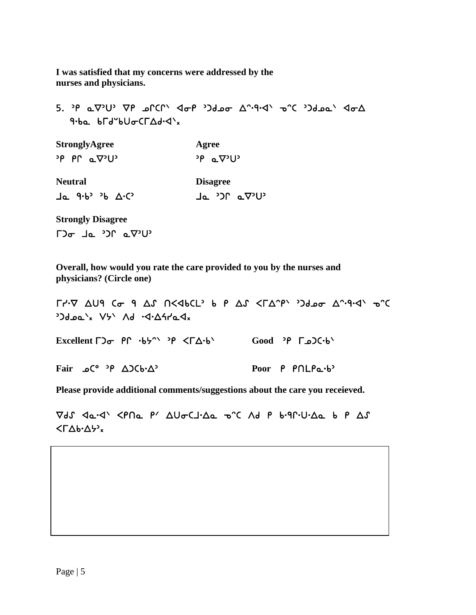**I was satisfied that my concerns were addressed by the nurses and physicians.** 

יון ערך איף איז הא מעני איים מעני און די סבאלי איז הא מאט איז 5. אפ  $9.6a$   $b\Gamma d^{\circ}b\Gamma d\Gamma\Delta d\Gamma d^{\circ}x$ 

| <b>StronglyAgree</b>                       | Agree                             |  |  |
|--------------------------------------------|-----------------------------------|--|--|
| $P \cap \alpha \nabla^2 U^2$               | $P_{\alpha} \propto \nabla^2 U^2$ |  |  |
| <b>Neutral</b><br>$Ja$ 9.6° 36 $\Delta$ .C | <b>Disagree</b><br>י∪י⊽ם ∩כי ⊾L   |  |  |

**Strongly Disagree**   $\Gamma$ ) $\sigma$   $\Gamma$   $\Delta$   $\sigma$   $\gamma$ ) $\Gamma$   $\Delta$   $\sigma$ ) $\Gamma$ 

**Overall, how would you rate the care provided to you by the nurses and physicians? (Circle one)** 

 $\Gamma$ /· $\nabla$   $\Delta$ U9 ( $\sigma$  9  $\Delta$ *S*  $\Lambda$ <db(L<sup>2</sup> b  $P$   $\Delta$ *S* < $\Gamma$  $\Delta$ <sup>- $P$ </sup><sup> $\Lambda$ </sup> >)deo  $\Delta$ <sup>2</sup>·9·4<sup>1</sup>  $\sigma$ <sup>2</sup> 3Jdea'x V5' Ad .4.47a4x **Excellent Γ)<sub>σ</sub>** PΓ ·b<sup>ρ</sup> ·δγ <ΓΔ·b<sup>\</sup> Good <sup>3</sup>Ρ Γω)C·b<sup>\</sup> Fair **ΔΟΣ Δ** *C***<sup>o</sup> 2 A** *C*<sup>**<sup>2</sup>**</sup> *P* **C**<sup>o</sup> *P* **A C**<sub>**<sup>***C***</sup>**<sup>**<sup>2</sup></del></sup> <b>P**<sub>00</sub>r **P**<sub>*P*</sub> **P**<sub>1</sub>C<sub>*P*<sub>2</sub>·b<sup>2</sup></sub></sup></sub>

**Please provide additional comments/suggestions about the care you receieved.** 

 $\nabla dJ$   $\Delta d \cdot d'$   $\Delta P \cdot d \cdot d'$   $\Delta U$  $\sigma$   $\Delta J \cdot d \cdot d$   $\sigma$   $\alpha$   $\alpha$   $\beta$   $\beta$   $\alpha$  $\langle \Gamma \Delta b \cdot \Delta \rangle$ <sub>x</sub>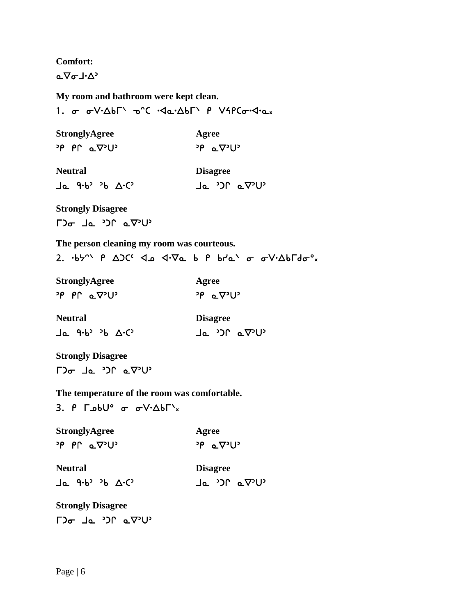**Comfort:** 

 $\Delta \nabla \sigma \mathbf{1} \cdot \Delta^2$ 

**My room and bathroom were kept clean.** 

1. σ σ V.ΔbΓ' o'C . Ja. ΔbΓ' P V4PCσ. J.a.x

**StronglyAgree Agree**  $P \circ P \circ Q^{\circ} \cup Q^{\circ}$  or  $Q^{\circ} \cup Q^{\circ}$ 

| Neutral |  |  |  | Disagree |                  |  |
|---------|--|--|--|----------|------------------|--|
|         |  |  |  |          | ן י∪י⊽ם ∩כי ⊾L י |  |

 $\mathbf{r}$ **Strongly Disagree**   $\Gamma$ <sup>2</sup> $\sigma$   $\Gamma$ <sup>2</sup> $\sigma$   $\Gamma$ <sup>2</sup> $\Gamma$ <sup>2</sup> $\Gamma$ 

**The person cleaning my room was courteous.** 

2.  $-b5^{\circ}$  P  $\Delta$ ) $C^{c}$   $\Delta$   $\Delta$   $\sqrt{v_{\Delta}}$  b P  $b7a^{\circ}$   $\sigma$   $\sigma$  $V \cdot \Delta b \Gamma d \sigma$ <sup>o</sup>x

| <b>StronglyAgree</b>         | Agree                |
|------------------------------|----------------------|
| $P \cap \alpha \nabla^2 U^2$ | <sup>∍</sup> ף ⊾⊽יטי |

| <b>Neutral</b> |  |  | <b>Disagree</b>             |  |                     |
|----------------|--|--|-----------------------------|--|---------------------|
|                |  |  | Ja 9.6 <sup>3</sup> 36 A.C3 |  | ן י∪י⊽ם ∩כ <i>י</i> |

**Strongly Disagree** 

 $\Gamma$ ) $\sigma$   $\Gamma$   $\Delta$   $\sigma$   $\gamma$ ) $\Gamma$   $\Delta$   $\Delta$ ) $\Gamma$ 

**The temperature of the room was comfortable.** 

3.  $P \sim 500^\circ$  or  $\sigma V \cdot \Delta b \Gamma$ <sup>'x</sup>

| <b>StronglyAgree</b>      | Agree                |
|---------------------------|----------------------|
| יטיס <sub>י</sub> ם Pr פי | י∪י⊽⊾ P <sup>נ</sup> |

| <b>Neutral</b> |                            |  | <b>Disagree</b> |              |
|----------------|----------------------------|--|-----------------|--------------|
|                | Ja 9.6 <sup>3</sup> 36 A.C |  |                 | י∪י⊽ם ∩כי ⊾L |

**Strongly Disagree**   $\Gamma$ ) $\sigma$   $\Gamma$   $\Delta$   $\sigma$   $\gamma$ ) $\Gamma$   $\Delta$   $\sigma$ ) $\Gamma$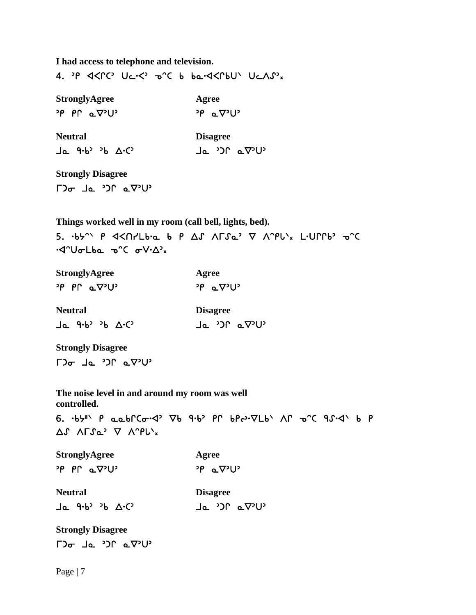**I had access to telephone and television.** 

4. P << PC UC.<< 0 C b ba.<< PLV UCAS

| <b>StronglyAgree</b>         | Agree                                         |  |  |
|------------------------------|-----------------------------------------------|--|--|
| $P \cap \alpha \nabla^2 U^2$ | <sup>2</sup> P aV <sup>2</sup> U <sup>2</sup> |  |  |
| <b>Neutral</b>               | <b>Disagree</b>                               |  |  |
| Ja 9.6 <sup>3</sup> 36 A.C   | י∪י⊽⊾ ∩כי ⊾L                                  |  |  |

**Strongly Disagree**   $\Gamma$ ) $\sigma$   $\Gamma$   $\Delta$   $\sigma$   $\gamma$ ) $\Gamma$   $\Delta$   $\sigma$ ) $\Gamma$ 

**Things worked well in my room (call bell, lights, bed).**  ·<l'UσLba o'C σV·Δ'x

| <b>StronglyAgree</b>         | Agree                             |  |  |
|------------------------------|-----------------------------------|--|--|
| $P \cap \alpha \nabla^2 U^2$ | $P_{\alpha} \propto \nabla^2 U^2$ |  |  |
| <b>Neutral</b>               | <b>Disagree</b>                   |  |  |
| Ja 9.6 <sup>3</sup> 36 A.C   | י∪י⊽ם ∩כי ⊾L                      |  |  |

 $\mathbf{r}$ **Strongly Disagree**   $\Gamma$ )  $\sigma$  de  $\Omega$ <sup>2</sup> de  $\Gamma$ 

**The noise level in and around my room was well controlled.** 

6.  $\cdot$ b $\cdot$ " P aabr $C\sigma$ ·<2'  $\nabla$ b 9·b' Pr bpe· $\nabla$ Lb' Ar  $\sigma$ °C 9 $\Lambda$ ·<1' b P  $\Delta$ S ALSQ' A V.bl'x

**StronglyAgree Agree**  $P \circ P \circ Q \circ U$ 

**Neutral Disagree** Ja 9.6<sup>3</sup> 36 A.C<sup>3</sup> Ja 30 a.V3U3

**Strongly Disagree**   $\Gamma$ <sup>2</sup> $\sigma$   $\Gamma$ <sup>2</sup> $\sigma$   $\Gamma$ <sup>2</sup> $\Gamma$ <sup>2</sup> $\Gamma$ 

Page | 7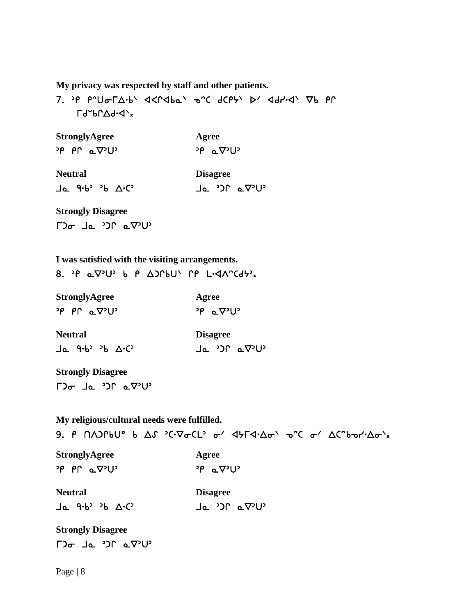**My privacy was respected by staff and other patients.** 

  $\Gamma d^{\nu}b\Gamma\Delta d^{\nu}d^{\nu}x$ 

| StronglyAgree                     | Agree                                             |  |  |
|-----------------------------------|---------------------------------------------------|--|--|
| יטיס <sub>ים P</sub> rף יש        | י $P_{\alpha} \nabla^{2}U^{2}$                    |  |  |
| Neutral                           | <b>Disagree</b>                                   |  |  |
| <b>」。 9・b<sup>,</sup>,b △・C</b> , | Ja <sup>2</sup> C a V <sup>2</sup> U <sup>2</sup> |  |  |
| $\sim$ $\sim$                     |                                                   |  |  |

**Strongly Disagree**   $\Gamma$ ) $\sigma$   $\Gamma$   $\Delta$   $\sigma$   $\gamma$ ) $\Gamma$   $\Delta$   $\Delta$ ) $\Gamma$ 

**I was satisfied with the visiting arrangements.** 

|--|--|--|--|--|--|--|--|--|

| <b>StronglyAgree</b>         | Agree                             |
|------------------------------|-----------------------------------|
| $P \cap \alpha \nabla^2 U^2$ | $P_{\alpha} \propto \nabla^2 U^2$ |
| <b>Neutral</b>               | <b>Disagree</b>                   |
| Ja 9.6° 36 A.C               | י∪י⊽ם ∩כי ⊾⊥                      |

**Strongly Disagree**   $\Gamma$ )  $\sigma$  de ') $\Gamma$  e $\nabla$ 'U'

**My religious/cultural needs were fulfilled.** 

9. P NAJLPNo P AL 3C. Accel, a. 4HL4. Aa, a.C a. VC. Pal. Ya-7x **StronglyAgree 4.4 Agree**  $P \circ P \circ Q^2 U^3$  or  $P \circ Q^3 U^3$ **Neutral Disagree** Ja 9.6<sup>3</sup> 36 A.C<sup>3</sup> Ja 30 a.V3U3 **Strongly Disagree** 

 $\Gamma$ <sup>2</sup> $\sigma$   $\Gamma$ <sup>2</sup> $\sigma$   $\Gamma$ <sup>2</sup> $\Gamma$ <sup>2</sup> $\Gamma$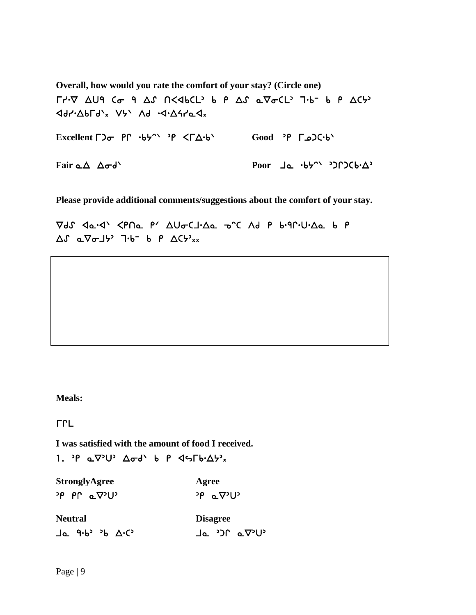**Overall, how would you rate the comfort of your stay? (Circle one)** 

 $\Gamma$ /· $\nabla$   $\Delta$ U9  $\zeta$   $\sigma$  9  $\Delta$ *S*  $\Omega$   $\zeta$  4bCL<sup>2</sup> b  $P$   $\Delta$ *S*  $\sigma$ <sub>2</sub>  $\zeta$   $\zeta$ <sub>2</sub>  $\zeta$ <sub>2</sub>  $\zeta$ <sub>2</sub>  $\zeta$ <sub>2</sub>  $\zeta$ <sub>2</sub>  $\zeta$ <sub>2</sub>  $\zeta$ <sub>2</sub>  $\zeta$ <sub>2</sub>  $\zeta$ <sub>2</sub>  $\zeta$ <sub>2</sub>  $\zeta$ <sub>2</sub>  $\zeta$ <sub>2</sub>  $\zeta$ <sub>2</sub>  $\zeta$ <sub>2</sub>  $\zeta$ <sub>2</sub> Excellent Γ)<sub>σ</sub> P<sup>P</sup> ·b<sup>*r*</sup> ·p <ΓΔ·b<sup>'</sup> Good <sup>></sup>P Γω)C·b'

**Fair αΔ Δσd' Poor Jα ·b**<sup>-</sup> · <sup>2</sup>) P2Cb·Δ<sup>2</sup>

**Please provide additional comments/suggestions about the comfort of your stay.** 

Vds <a.</a> <PNa P' AUGCJ.Aa onc Ad P b.9r.U.Aa b P  $\Delta S$   $\alpha \nabla \sigma J$   $\rightarrow$   $\gamma b^-$  b  $\beta$   $\Delta C$   $\rightarrow$   $\chi$ 

**Meals:** 

**LLF** 

**I was satisfied with the amount of food I received.** 

1. P  $a\nabla^3U^3$   $\Delta\sigma d^3$  b P  $45\Gamma b^2\Delta b^3x$ 

| <b>StronglyAgree</b>               | Agree                                  |  |  |
|------------------------------------|----------------------------------------|--|--|
| <sup>י</sup> טי⊽ ב י∩י ף           | <sup>∍ρ</sup> ⊾⊽∍∪∍                    |  |  |
| <b>Neutral</b>                     | <b>Disagree</b>                        |  |  |
| $\exists a$ 9.6° 36 $\Delta$ . $C$ | Ja <sup>&gt;</sup> C av <sup>2</sup> U |  |  |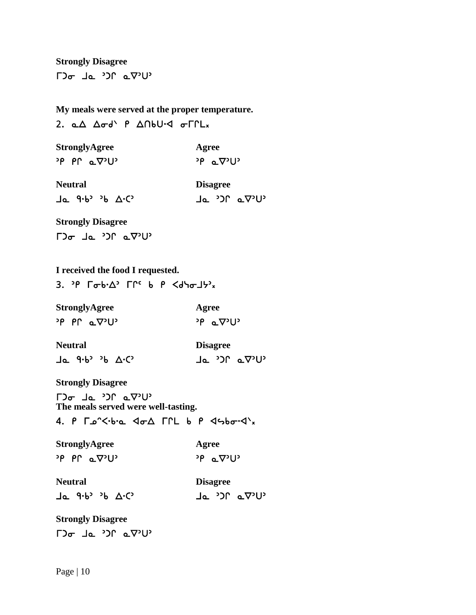**Strongly Disagree**   $\Gamma$ <sup>2</sup> $\sigma$   $\Gamma$ <sup>2</sup> $\sigma$   $\Gamma$ <sup>2</sup> $\Gamma$   $\sigma$ 

**My meals were served at the proper temperature.** 

2.  $\triangle\triangle$   $\triangle\sigma$ d'  $P$   $\triangle\cap$ bU.<d  $\sigma\Gamma\Gamma$ Lx

| <b>StronglyAgree</b>   | Agree                             |
|------------------------|-----------------------------------|
| <sup>›p</sup> PՐ ⊾∇᠈U᠈ | $P_{\alpha} \propto \nabla^2 U^2$ |
| <b>Neutral</b>         | <b>Disagree</b>                   |

Ja 9.6<sup>, 3</sup>6 A.C, Ja 30 a $\nabla$ U

 $\mathbf{r}$ **Strongly Disagree**   $\Gamma$ ) $\sigma$   $\Gamma$   $\Delta$   $\sigma$   $\gamma$ ) $\Gamma$   $\Delta$   $\sigma$ ) $\Gamma$ 

**I received the food I requested.** 

3.  $3P$   $\Gamma \sigma b \cdot \Delta^2$   $\Gamma \Gamma^c$  b  $P$   $\langle d \nabla \sigma J \nabla^2 \rangle_x$ 

**StronglyAgree Agree**  $P \circ P \circ Q \circ U$ <sup>2</sup> PP  $Q \circ U$ <sup>2</sup>

**Neutral Disagree** Ja 9.6<sup>3</sup> 36 A.C<sup>3</sup> (2014) Ja 30 a.V3U3

**Strongly Disagree** 

 $\Gamma$ ) $\sigma$   $\Gamma$   $\Delta$   $\sigma$   $\gamma$ ) $\Gamma$   $\Delta$   $\sigma$ ) $\Gamma$ **The meals served were well-tasting.** 

4.  $P \Gamma_{0} C \cdot b \cdot a$   $d \sigma \Delta$   $\Gamma \Gamma L$  b  $P \Delta S$ 

**StronglyAgree 4.4 Agree**  $\overline{P}$   $P \cap \alpha \nabla^{2}U^{2}$  and  $\overline{P} \cap \alpha \nabla^{2}U^{2}$ 

**Neutral Disagree**   $J\sigma$   $d\cdot P$ ,  $p \nabla \cdot C$ ,  $J\sigma$   $J\omega$   $\sigma \Delta D$ .

 $\mathbf{r}$ **Strongly Disagree**   $\Gamma$ ) $\sigma$   $\Gamma$   $\Delta$   $\sigma$   $\gamma$ ) $\Gamma$   $\Delta$   $\sigma$ ) $\Gamma$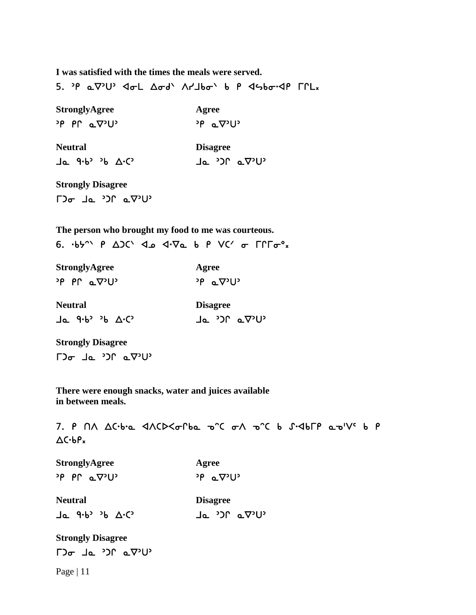**I was satisfied with the times the meals were served.** 

5. P a V'U' <a>L Aod' <a>A'L<br />Adde</a></a>A</a>P <a>F</a>CL</a></a>A

| <b>StronglyAgree</b>      | Agree                |
|---------------------------|----------------------|
| יטיס <sub>ים</sub> Prף יש | י∪י⊽⊾ P <sup>נ</sup> |

**Neutral Disagree** Ja 9.6' 36 A.C' Ja 30' a $\nabla^3 U$ 

**Strongly Disagree**   $\Gamma$ ) $\sigma$   $\Gamma$   $\Delta$   $\sigma$   $\gamma$ ) $\Gamma$   $\Delta$   $\sigma$ ) $\Gamma$ 

**The person who brought my food to me was courteous.**  6.  $\cdot$ b<sup>y</sup>  $\wedge$  P  $\triangle$ )  $\wedge$   $\triangle$   $\triangle$   $\vee$   $\vee$   $\triangle$  P  $\vee$   $\vee$   $\sigma$   $\Gamma$  $\Gamma$  $\sigma$ <sup>o</sup><sub>x</sub>

| <b>StronglyAgree</b>         | Agree                      |  |  |
|------------------------------|----------------------------|--|--|
| $P \cap \alpha \nabla^2 U^2$ | י∪י⊽ <sub>≏</sub> סי       |  |  |
| <b>Neutral</b>               | <b>Disagree</b>            |  |  |
| Ja 9.6 <sup>3</sup> 36 A.C   | Ja <sup>&gt;</sup> C' aV'U |  |  |

**Strongly Disagree**   $\Gamma$ ) $\sigma$   $\Gamma$   $\Delta$   $\sigma$   $\gamma$ ) $\Gamma$   $\Delta$   $\sigma$ ) $\Gamma$ 

**There were enough snacks, water and juices available in between meals.** 

7. P NA AC·b·a <ACD<orba o'C oA o'C b S.<AbrP a o'V' b P  $\Delta C \cdot b P_x$ 

| <b>StronglyAgree</b>         | Agree                           |  |  |
|------------------------------|---------------------------------|--|--|
| $P \cap \alpha \nabla^2 U^2$ | <sup>ንβ</sup> ⊾⊽ <sup>ን</sup> U |  |  |
| <b>Neutral</b>               | <b>Disagree</b>                 |  |  |
| Ja 9.6° 36 A.C               | י∪י⊽⊾ ∩כי ⊾L                    |  |  |
| $\sim$ $\sim$                |                                 |  |  |

**Strongly Disagree**   $\Gamma$ <sup>2</sup> Ja <sup>2</sup>

Page | 11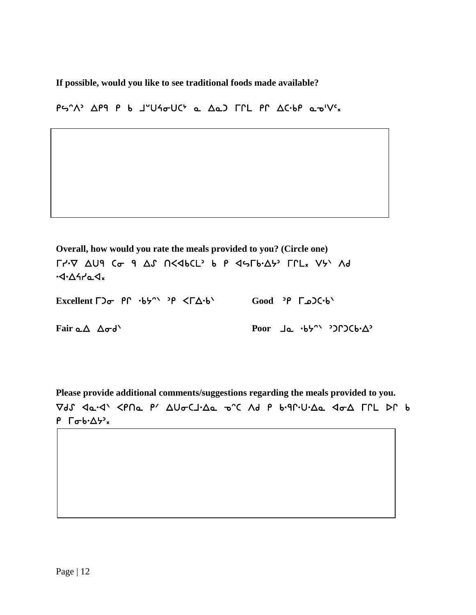**If possible, would you like to see traditional foods made available?** 

 $P \sim \gamma \wedge$   $\Delta P$ 9 P b JU4 $\sigma$ UC' a  $\Delta a$ ) FPL PP  $\Delta C$ ·bP a $\sigma$ 'V'x

**Overall, how would you rate the meals provided to you? (Circle one)**   $\Gamma$  $\cdot$ V  $\Delta$ U9 Co 9  $\Delta$ S  $\Gamma$ <46CL b P  $\Delta$ S $\Gamma$ b $\cdot$  $\Delta$ b  $\Gamma$ PL<sub>x</sub> Vb  $\Lambda$ d  $-4.4444x$ 

Excellent Γ)<sub>σ</sub> P<sup>C</sup> ·b<sup>λ</sup><sup> ·</sup> >P <ΓΔ·b<sup>\</sup> Good <sup>></sup>P Γω)C·b<sup>\</sup>

**Fair αΔ**  $Δσd'$  **Poor 1α**  $·b5'$  **POOT 20**  $·b5'$  **POOT** 

**Please provide additional comments/suggestions regarding the meals provided to you.**  Vds <a-</a> <PNa P' AUGCJ.Aa onc Ad P b.91.U.Aa <br/> <pA FIL DP b  $P$   $\Gamma \sigma b \cdot \Delta \nabla^2 x$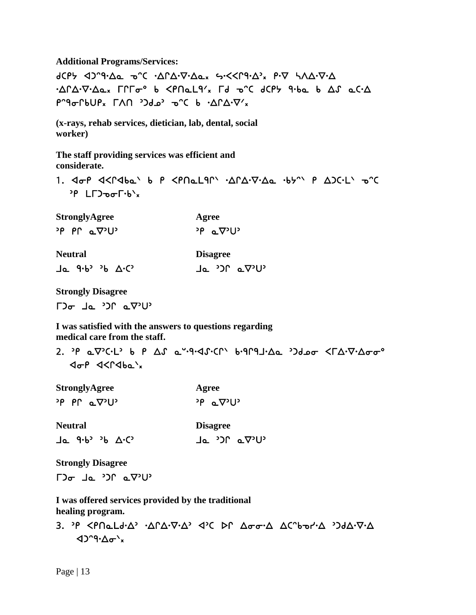**Additional Programs/Services:** 

  $\cdot \Delta \Gamma \Delta \cdot \nabla \cdot \Delta \mathfrak{a}_x$   $\Gamma \Gamma \Gamma \sigma^{\circ}$  b  $\langle \mathsf{P} \cap \mathfrak{a} \mathsf{L} \mathsf{P}' \rangle_x$   $\Gamma d \mathfrak{a} \gamma^{\circ}$  d( $\mathsf{P} \mathsf{H}$  and  $\Delta f$  and  $\Delta f$  $P^{\circ}$ ۹ $\sigma$ Γ $\Delta P$  κ Γ $\Lambda$ Π  $\delta$ 3 $\sigma$  τ ε  $\Delta P$   $\Delta P$   $\sigma$ 

**(x-rays, rehab services, dietician, lab, dental, social worker)** 

**The staff providing services was efficient and considerate.** 

1. 4 or 4<r4ba' b P <PNaL9r' . ArA. V.Aa .by" P AJC.L' 0"C  $P$  LE)  $\sigma$ F $\cdot$ b $\cdot$ x

**StronglyAgree 4.4 Agree**  $P \circ P$   $P \circ Q$ <sup>2</sup>  $U$ <sup>3</sup>  $P \circ Q$ <sup>2</sup> $U$ <sup>3</sup>

**Neutral** 

**Disagree**  $J\alpha$  a.p.  $J\beta$   $\Delta$ .c.  $J\alpha$   $J\beta$   $\alpha$   $\nabla$ .m.

**Strongly Disagree** 

 $\Gamma$ <sup>2</sup> $\sigma$  1a  $\Omega$ <sup>2</sup> a $\nabla$ <sup>2</sup>

**I was satisfied with the answers to questions regarding medical care from the staff.** 

2. P a  $\nabla$ <sup>2</sup>C·L<sup>3</sup> b P  $\Delta S$  a  $-9.4J$ ·Cr<sup>1</sup> b·9r9J· $\Delta a$   $-2J$  $4\sigma P$   $4<$   $96\sigma x$ 

| <b>StronglyAgree</b>                             | Agree                                      |  |  |  |
|--------------------------------------------------|--------------------------------------------|--|--|--|
| <sup>2</sup> P PP aV <sup>2</sup> U <sup>2</sup> | <sup>2</sup> P aV <sup>2</sup> U           |  |  |  |
| <b>Neutral</b>                                   | <b>Disagree</b>                            |  |  |  |
| $Ja$ 9.6° 36 $\Delta$ . $C$                      | Ja <sup>&gt;</sup> )Ր a∇ <sup>&gt;</sup> U |  |  |  |

**Strongly Disagree** 

 $\Gamma$ )  $\sigma$  de  $\Omega$   $\Gamma$  and  $\Gamma$ 

 **I was offered services provided by the traditional healing program.** 

3. P <PNaLd. Δ' . ΔΓΔ. Δ' <br /> Δ' ( DΓ Δσσ. Δ Δ("bor'. Δ ') dΔ. V. Δ  $42°9·Δσ'x$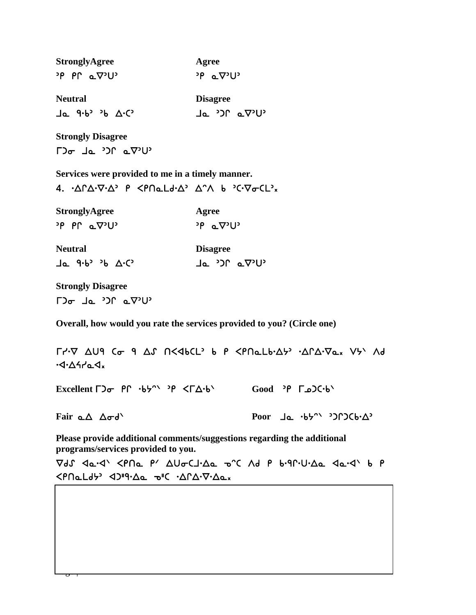| <b>StronglyAgree</b>                                     | Agree                             |  |  |  |
|----------------------------------------------------------|-----------------------------------|--|--|--|
| <sup>›p</sup> PՐ ⊾∇᠈U                                    | $P_{\alpha} \propto \nabla^2 U^2$ |  |  |  |
| <b>Neutral</b>                                           | <b>Disagree</b>                   |  |  |  |
| $\exists a$ 9.6 <sup>3</sup> 36 $\Delta$ .C <sup>3</sup> | י∪י⊽ם ∩כי ⊾L                      |  |  |  |

**Strongly Disagree**   $\Gamma$ ) $\sigma$   $\Gamma$   $\Delta$   $\sigma$   $\gamma$ ) $\Gamma$   $\Delta$   $\Delta$  $\gamma$ ) $\Gamma$ 

**Services were provided to me in a timely manner.** 

4.  $\Delta \Gamma \Delta \cdot \nabla \cdot \Delta$ <sup>2</sup> P <PNaLd $\cdot \Delta$ <sup>2</sup>  $\Delta$ <sup>2</sup> $\Lambda$  b  $\Gamma$ C $\nabla \sigma$ CL<sup>2</sup>x

| <b>StronglyAgree</b>        | Agree                |  |  |
|-----------------------------|----------------------|--|--|
| יטי $\nu$ פי $\nu$ פי $\nu$ | <sup>∍</sup> ף ⊾⊽יטי |  |  |

| <b>Neutral</b> | <b>Disagree</b>                      |
|----------------|--------------------------------------|
|                | Ja <sup>&gt;</sup> C av <sup>o</sup> |

**Strongly Disagree**   $\Gamma$ <sup>2</sup> Ja <sup>2</sup>20 a $\nabla$ <sup>2</sup>

 $\frac{1}{2}$ 

**Overall, how would you rate the services provided to you? (Circle one)** 

 $\Gamma$  +  $\nabla$   $\Delta$ U9 ( $\sigma$  9  $\Delta$   $\Lambda$   $\Gamma$   $\Delta$   $\Delta$   $\Delta$   $\Gamma$   $\Delta$   $\Gamma$   $\Delta$   $\Gamma$   $\Delta$   $\Gamma$   $\Delta$   $\Delta$   $\Gamma$   $\Delta$   $\Gamma$   $\Delta$   $\Gamma$   $\Delta$   $\Gamma$   $\Delta$   $\Gamma$   $\Delta$   $\Gamma$   $\Delta$   $\Gamma$   $\Delta$   $\Gamma$   $\Delta$   $\Gamma$   $\Delta$   $\Gamma$   $\Delta$   $\Gamma$   $\Delta$   $\Gamma$   $\Delta$ ישי∆אים ש<sub>א</sub>

Excellent Γ)<sub>σ</sub>  $P \Gamma \cdot b 5^{\wedge}$  <sup>3</sup> $P \langle \Gamma \Delta \cdot b \rangle$  Good <sup>3</sup> $P \Gamma$  Δ) ( $\cdot b$ )

**Fair αΔ Δσd' Poor Jα ·b** + <sup>b</sup> + <sup>2</sup>) + 2 (b + <sup>2</sup>) + 2 (c + <sup>2</sup>) + 2 (c + 2) + 2 (c + 2) + 2 (c + 2) + 2 (c + 2) + 2 (c + 2) + 2 (c + 2) + 2 (c + 2) + 2 (c + 2) + 2 (c + 2) + 2 (c + 2) + 2 (c + 2) + 2 (c + 2) + 2 (c +

**Please provide additional comments/suggestions regarding the additional programs/services provided to you.** 

Vds <a-</a> <PNa P' AUoclisa onc Ad P bigniusa <a-</a>  $\langle P \cap \Delta L d \rangle$  < $\langle P \cap \Delta L d \rangle$  < $\langle \Delta \cap \Delta \cdot \nabla \cdot \Delta \Delta \cdot \nabla \cdot \Delta \cdot \nabla \cdot \Delta \cdot \nabla \cdot \Delta \cdot \nabla \cdot \Delta \cdot \nabla \cdot \Delta \cdot \nabla \cdot \Delta \cdot \nabla \cdot \Delta \cdot \nabla \cdot \Delta \cdot \nabla \cdot \Delta \cdot \nabla \cdot \Delta \cdot \nabla \cdot \Delta \cdot \nabla \cdot \Delta \cdot \nabla \cdot \Delta \cdot \nabla \cdot \Delta \cdot \nabla \cdot \Delta \cdot \nabla \cdot \Delta \cdot \nabla \cdot \Delta$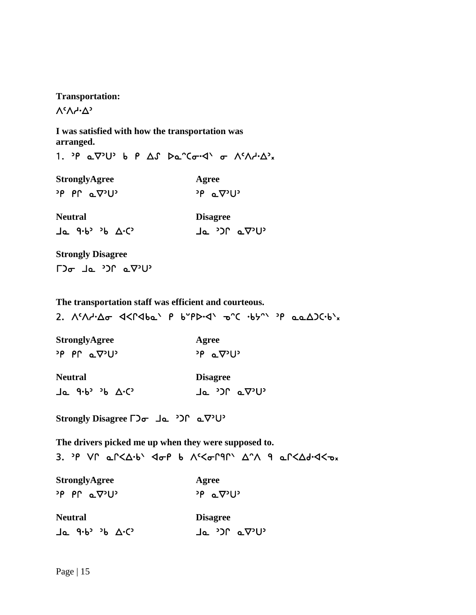**Transportation:**   $V_{c}V_{1}V_{2}V_{3}$ 

**I was satisfied with how the transportation was arranged.** 

1. P  $\alpha \nabla^3 U^3$  b P  $\Delta S$   $\beta \alpha^2$  ( $\sigma \cdot 4$   $\sigma$   $\Lambda$ <sup>c</sup> $\Lambda$  $\cdot \Delta^3$  x

**StronglyAgree Agree**  $P \circ P \circ Q^2 U^3$  or  $P \circ Q^3 U^3$ **Neutral Disagree**  $J\alpha$  9.6<sup>3</sup> <sup>3</sup>b  $\Delta$ .C<sup>3</sup> 20 30 30  $J\alpha$   $J\gamma$ U<sup>2</sup>

**Strongly Disagree** 

 $\Gamma$ ) $\sigma$   $\Gamma$   $\Delta$   $\sigma$   $\gamma$ ) $\Gamma$   $\Delta$   $\sigma$ ) $\Gamma$ 

**The transportation staff was efficient and courteous.** 

2.  $\Lambda^{c}\Lambda$ d- $\Delta\sigma$  <  $\Lambda^{c}\Lambda^{d}$ b (  $\rho$  b  $\rho$ P). (  $\sigma^{c}$  · b  $\rho^{c}$  ·  $\rho^{c}$  and  $\Delta^{c}$ 

|  | <b>StronglyAgree</b>         | Agree                    |  |  |
|--|------------------------------|--------------------------|--|--|
|  | $P \cap \alpha \nabla^2 U^2$ | $P \propto \nabla^2 U^2$ |  |  |

**Neutral Disagree**  $J\sigma$   $d\cdot P$ ,  $p \nabla \cdot C$ ,  $J\sigma$   $J\omega$   $\sigma \Delta D$ ,  $J\omega$ 

**Strongly Disagree** 

**The drivers picked me up when they were supposed to.**  3. P VP  $a^cA$ ·b'  $d\sigma P$  b  $A^cC\sigma P$ PP'  $\Delta^cA$  9  $a^cC\Delta d$ ·<br/> $d<\sigma_x$ 

| <b>StronglyAgree</b>             | Agree                                                |  |  |
|----------------------------------|------------------------------------------------------|--|--|
| $P \cap \alpha \nabla^2 U^2$     | <sup>›ρ</sup> ⊾⊽ <sup>›</sup> ∪'                     |  |  |
| <b>Neutral</b>                   | <b>Disagree</b>                                      |  |  |
| $\exists$ a. 9.6° 36 $\Delta$ .C | Ja <sup>&gt;</sup> JP aV <sup>2</sup> U <sup>2</sup> |  |  |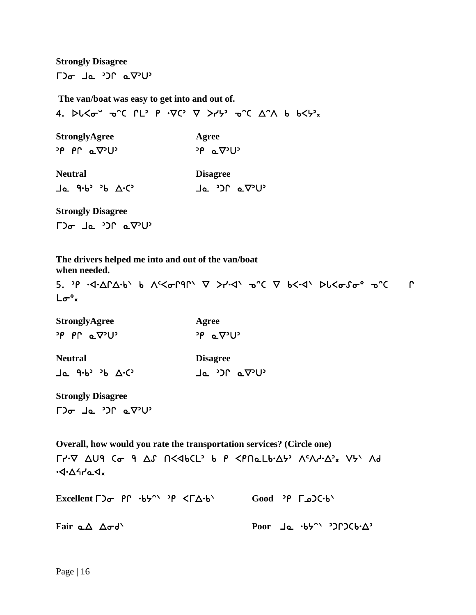**Strongly Disagree**   $\Gamma$ )  $\sigma$  de  $\Omega$ <sup>2</sup> de  $\nabla$ <sup>2</sup>

**The van/boat was easy to get into and out of.** 

4. PL $\leq \sigma^2$  o'c  $\Gamma L$ <sup>2</sup> P  $\cdot \nabla C$ <sup>2</sup>  $\nabla$   $> r$   $\cdot \nabla^2$  o'c  $\Delta$ <sup>o</sup> $\wedge$  b  $6\leq r$ <sup>2</sup> x

**StronglyAgree Agree**  $P \circ P \circ Q^2 U^3$  or  $P \circ Q^3 U^3$ 

**Neutral Disagree**  $J\sigma$   $J\sigma$   $J\sigma$   $J\sigma$   $J\sigma$   $J\sigma$   $J\sigma$   $J\sigma$   $J\sigma$   $J\sigma$   $J\sigma$   $J\sigma$ 

**Strongly Disagree**   $\Gamma$ ישי $\Gamma$  בי $\Gamma$  בי $\Gamma$ 

**The drivers helped me into and out of the van/boat when needed.** 

  $L\sigma^o$ x

| <b>StronglyAgree</b>              | Agree                |  |  |
|-----------------------------------|----------------------|--|--|
| <sup>∍</sup> PՐ ⊾⊽ <sup>∍</sup> U | י∪י⊽⊾ P <sup>נ</sup> |  |  |

| <b>Neutral</b> |  |  | <b>Disagree</b>            |  |  |              |
|----------------|--|--|----------------------------|--|--|--------------|
|                |  |  | Ja 9.6 <sup>3</sup> 36 A.C |  |  | י∪י⊽⊾ ∩כי ⊾L |

**Strongly Disagree**   $\Gamma$ ישי $\Gamma$  בי $\Gamma$  ביש

**Overall, how would you rate the transportation services? (Circle one)**   $\Gamma$ /· $\nabla$   $\Delta$ U9 Co 9  $\Delta$ S N<4bCL' b P <PNaLb· $\Delta$ }'  $\Lambda$ ' $\Lambda$ /· $\Delta$ '<sub>x</sub> V}'  $\Lambda$ d  $-4.4444x$ **Excellent Γ)<sub>σ</sub>** PΓ ·b<sup>ρ</sup> ·δγ <ΓΔ·b<sup>\</sup> Good <sup>3</sup>Ρ Γω)C·b<sup>\</sup>

Fair **αΔ**  $Δσd'$  **Poor 1α**  $·b5'$  <sup>2</sup>) $∩$ )C $b·Δ$ <sup>2</sup>